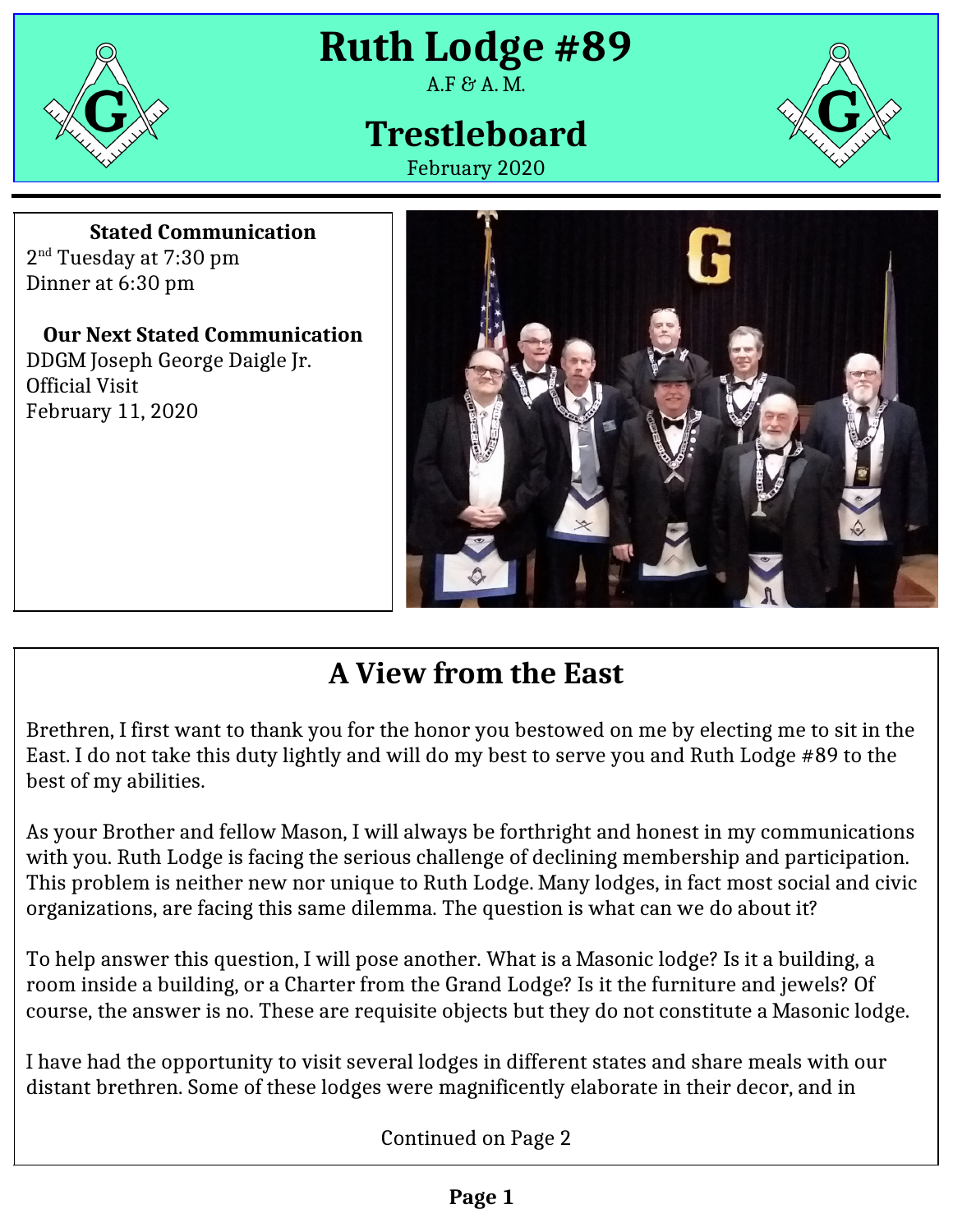

**Ruth Lodge #89**

#### $A.F$  &  $A.M.$

# **Trestleboard**

February 2020



**Stated Communication** 2<sup>nd</sup> Tuesday at 7:30 pm Dinner at 6:30 pm

**Our Next Stated Communication** DDGM Joseph George Daigle Jr. Official Visit February 11, 2020



## **A View from the East**

Brethren, I first want to thank you for the honor you bestowed on me by electing me to sit in the East. I do not take this duty lightly and will do my best to serve you and Ruth Lodge #89 to the best of my abilities.

As your Brother and fellow Mason, I will always be forthright and honest in my communications with you. Ruth Lodge is facing the serious challenge of declining membership and participation. This problem is neither new nor unique to Ruth Lodge. Many lodges, in fact most social and civic organizations, are facing this same dilemma. The question is what can we do about it?

To help answer this question, I will pose another. What is a Masonic lodge? Is it a building, a room inside a building, or a Charter from the Grand Lodge? Is it the furniture and jewels? Of course, the answer is no. These are requisite objects but they do not constitute a Masonic lodge.

I have had the opportunity to visit several lodges in different states and share meals with our distant brethren. Some of these lodges were magnificently elaborate in their decor, and in

Continued on Page 2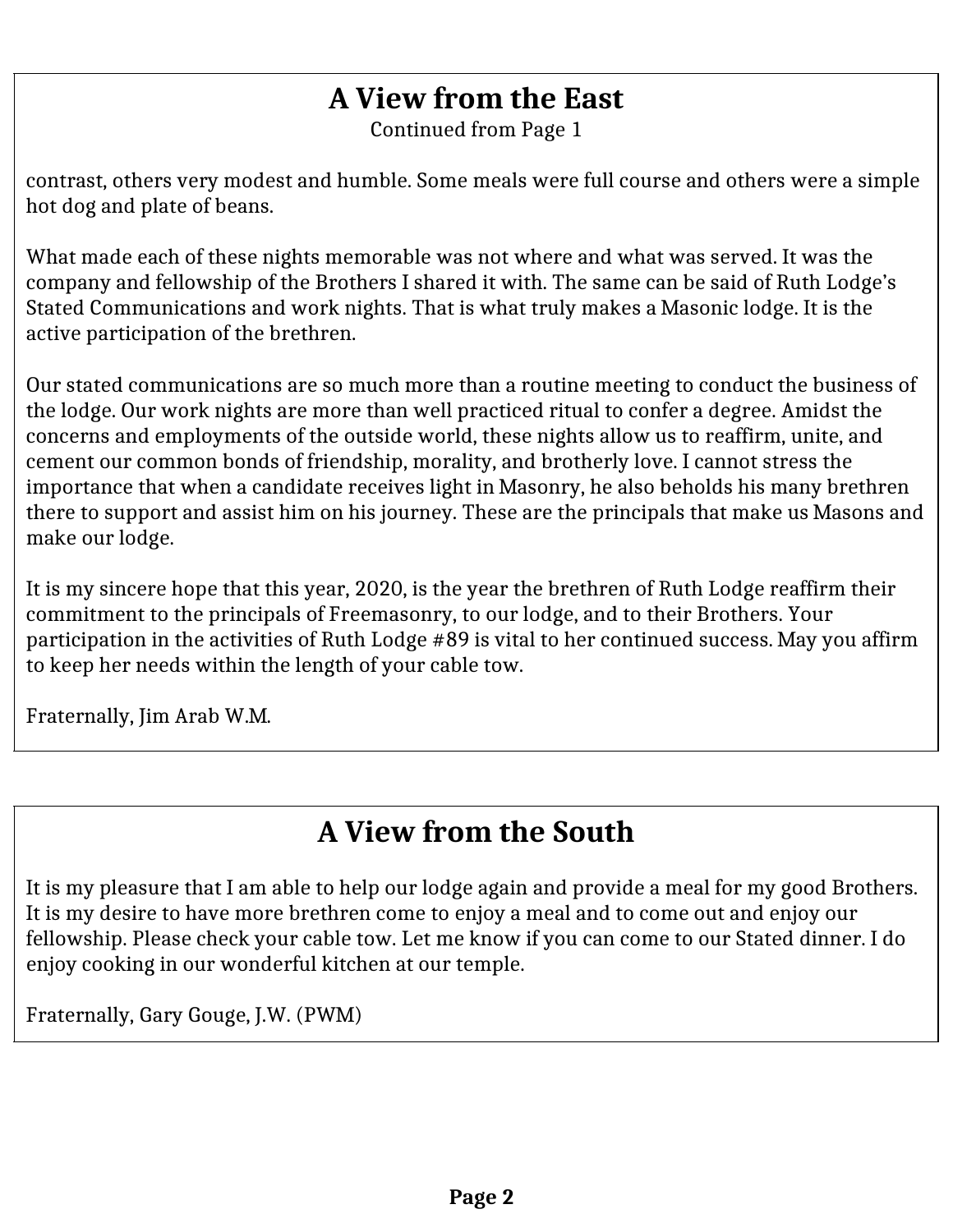### **A View from the East**

Continued from Page 1

contrast, others very modest and humble. Some meals were full course and others were a simple hot dog and plate of beans.

What made each of these nights memorable was not where and what was served. It was the company and fellowship of the Brothers I shared it with. The same can be said of Ruth Lodge's Stated Communications and work nights. That is what truly makes a Masonic lodge. It is the active participation of the brethren.

Our stated communications are so much more than a routine meeting to conduct the business of the lodge. Our work nights are more than well practiced ritual to confer a degree. Amidst the concerns and employments of the outside world, these nights allow us to reaffirm, unite, and cement our common bonds of friendship, morality, and brotherly love. I cannot stress the importance that when a candidate receives light in Masonry, he also beholds his many brethren there to support and assist him on his journey. These are the principals that make us Masons and make our lodge.

It is my sincere hope that this year, 2020, is the year the brethren of Ruth Lodge reaffirm their commitment to the principals of Freemasonry, to our lodge, and to their Brothers. Your participation in the activities of Ruth Lodge #89 is vital to her continued success. May you affirm to keep her needs within the length of your cable tow.

Fraternally, Jim Arab W.M.

### **A View from the South**

It is my pleasure that I am able to help our lodge again and provide a meal for my good Brothers. It is my desire to have more brethren come to enjoy a meal and to come out and enjoy our fellowship. Please check your cable tow. Let me know if you can come to our Stated dinner. I do enjoy cooking in our wonderful kitchen at our temple.

Fraternally, Gary Gouge, J.W. (PWM)